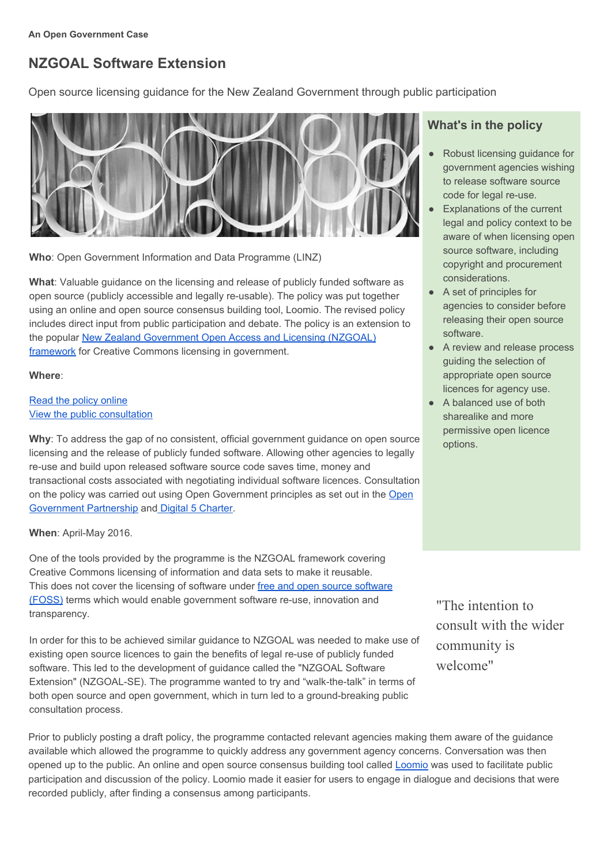# **NZGOAL Software Extension**

Open source licensing guidance for the New Zealand Government through public participation



**Who**: Open Government Information and Data Programme (LINZ)

**What**: Valuable guidance on the licensing and release of publicly funded software as open source (publicly accessible and legally re-usable). The policy was put together using an online and open source consensus building tool, Loomio. The revised policy includes direct input from public participation and debate. The policy is an extension to the popular New Zealand [Government](https://www.ict.govt.nz/guidance-and-resources/open-government/new-zealand-government-open-access-and-licensing-nzgoal-framework/) Open Access and Licensing (NZGOAL) [framework](https://www.ict.govt.nz/guidance-and-resources/open-government/new-zealand-government-open-access-and-licensing-nzgoal-framework/) for Creative Commons licensing in government.

### **Where**:

## Read the policy [online](https://www.ict.govt.nz/guidance-and-resources/open-government/new-zealand-government-open-access-and-licensing-nzgoal-framework/nzgoal-se/) View the public [consultation](https://www.loomio.org/g/NohQxyr9/nzgoal-software-extension-discussion-of-draft)

**Why**: To address the gap of no consistent, official government guidance on open source licensing and the release of publicly funded software. Allowing other agencies to legally re-use and build upon released software source code saves time, money and transactional costs associated with negotiating individual software licences. Consultation on the policy was carried out using Open Government principles as set out in the [Open](http://www.opengovpartnership.org/) [Government](http://www.opengovpartnership.org/) Partnership and Digital 5 [Charter.](https://www.gov.uk/government/uploads/system/uploads/attachment_data/file/386290/D5Charter_signed.pdf)

# **When: April-May 2016.**

One of the tools provided by the programme is the NZGOAL framework covering Creative Commons licensing of information and data sets to make it reusable. This does not cover the licensing of software under free and open source [software](https://en.wikipedia.org/wiki/Free_and_open-source_software) [\(FOSS\)](https://en.wikipedia.org/wiki/Free_and_open-source_software) terms which would enable government software re-use, innovation and transparency.

In order for this to be achieved similar guidance to NZGOAL was needed to make use of existing open source licences to gain the benefits of legal re-use of publicly funded software. This led to the development of guidance called the "NZGOAL Software Extension" (NZGOAL-SE). The programme wanted to try and "walk-the-talk" in terms of both open source and open government, which in turn led to a ground-breaking public consultation process.

# **What's in the policy**

- Robust licensing guidance for government agencies wishing to release software source code for legal re-use.
- **Explanations of the current** legal and policy context to be aware of when licensing open source software, including copyright and procurement considerations.
- A set of principles for agencies to consider before releasing their open source software.
- A review and release process guiding the selection of appropriate open source licences for agency use.
- A balanced use of both sharealike and more permissive open licence options.

"The intention to consult with the wider community is welcome"

Prior to publicly posting a draft policy, the programme contacted relevant agencies making them aware of the guidance available which allowed the programme to quickly address any government agency concerns. Conversation was then opened up to the public. An online and open source consensus building tool called **[Loomio](https://www.loomio.org/g/NohQxyr9/nzgoal-software-extension-discussion-of-draft)** was used to facilitate public participation and discussion of the policy. Loomio made it easier for users to engage in dialogue and decisions that were recorded publicly, after finding a consensus among participants.